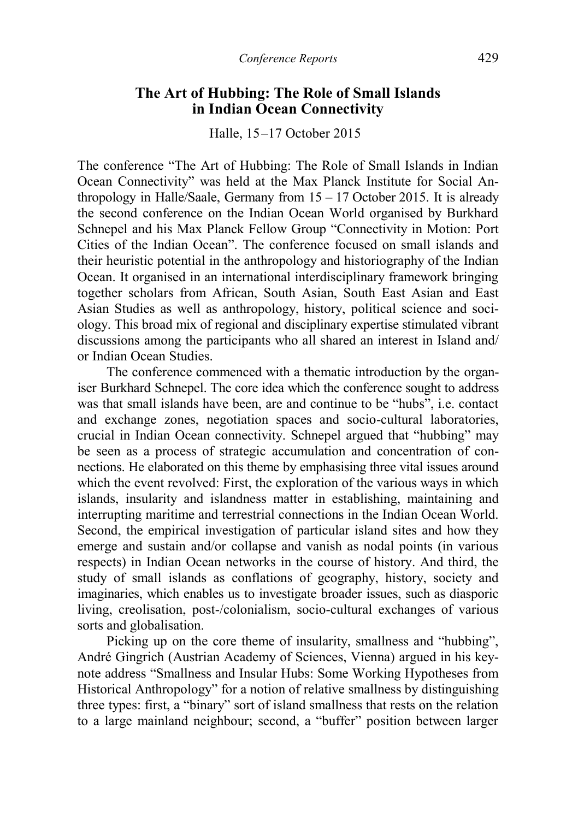## **The Art of Hubbing: The Role of Small Islands in Indian Ocean Connectivity**

Halle, 15–17 October 2015

The conference "The Art of Hubbing: The Role of Small Islands in Indian Ocean Connectivity" was held at the Max Planck Institute for Social Anthropology in Halle/Saale, Germany from 15 – 17 October 2015. It is already the second conference on the Indian Ocean World organised by Burkhard Schnepel and his Max Planck Fellow Group "Connectivity in Motion: Port Cities of the Indian Ocean". The conference focused on small islands and their heuristic potential in the anthropology and historiography of the Indian Ocean. It organised in an international interdisciplinary framework bringing together scholars from African, South Asian, South East Asian and East Asian Studies as well as anthropology, history, political science and sociology. This broad mix of regional and disciplinary expertise stimulated vibrant discussions among the participants who all shared an interest in Island and/ or Indian Ocean Studies.

The conference commenced with a thematic introduction by the organiser Burkhard Schnepel. The core idea which the conference sought to address was that small islands have been, are and continue to be "hubs", i.e. contact and exchange zones, negotiation spaces and socio-cultural laboratories, crucial in Indian Ocean connectivity. Schnepel argued that "hubbing" may be seen as a process of strategic accumulation and concentration of connections. He elaborated on this theme by emphasising three vital issues around which the event revolved: First, the exploration of the various ways in which islands, insularity and islandness matter in establishing, maintaining and interrupting maritime and terrestrial connections in the Indian Ocean World. Second, the empirical investigation of particular island sites and how they emerge and sustain and/or collapse and vanish as nodal points (in various respects) in Indian Ocean networks in the course of history. And third, the study of small islands as conflations of geography, history, society and imaginaries, which enables us to investigate broader issues, such as diasporic living, creolisation, post-/colonialism, socio-cultural exchanges of various sorts and globalisation.

Picking up on the core theme of insularity, smallness and "hubbing", André Gingrich (Austrian Academy of Sciences, Vienna) argued in his keynote address "Smallness and Insular Hubs: Some Working Hypotheses from Historical Anthropology" for a notion of relative smallness by distinguishing three types: first, a "binary" sort of island smallness that rests on the relation to a large mainland neighbour; second, a "buffer" position between larger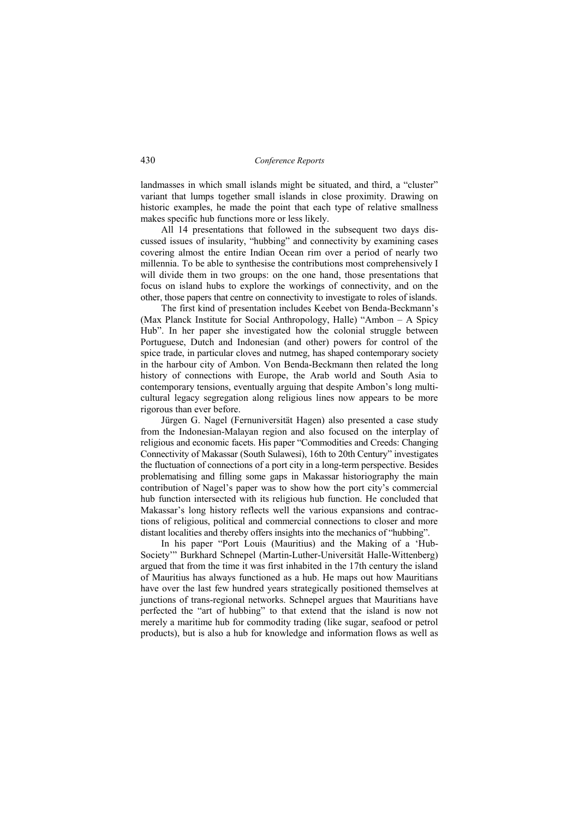landmasses in which small islands might be situated, and third, a "cluster" variant that lumps together small islands in close proximity. Drawing on historic examples, he made the point that each type of relative smallness makes specific hub functions more or less likely.

All 14 presentations that followed in the subsequent two days discussed issues of insularity, "hubbing" and connectivity by examining cases covering almost the entire Indian Ocean rim over a period of nearly two millennia. To be able to synthesise the contributions most comprehensively I will divide them in two groups: on the one hand, those presentations that focus on island hubs to explore the workings of connectivity, and on the other, those papers that centre on connectivity to investigate to roles of islands.

The first kind of presentation includes Keebet von Benda-Beckmann's (Max Planck Institute for Social Anthropology, Halle) "Ambon – A Spicy Hub". In her paper she investigated how the colonial struggle between Portuguese, Dutch and Indonesian (and other) powers for control of the spice trade, in particular cloves and nutmeg, has shaped contemporary society in the harbour city of Ambon. Von Benda-Beckmann then related the long history of connections with Europe, the Arab world and South Asia to contemporary tensions, eventually arguing that despite Ambon's long multicultural legacy segregation along religious lines now appears to be more rigorous than ever before.

Jürgen G. Nagel (Fernuniversität Hagen) also presented a case study from the Indonesian-Malayan region and also focused on the interplay of religious and economic facets. His paper "Commodities and Creeds: Changing Connectivity of Makassar (South Sulawesi), 16th to 20th Century" investigates the fluctuation of connections of a port city in a long-term perspective. Besides problematising and filling some gaps in Makassar historiography the main contribution of Nagel's paper was to show how the port city's commercial hub function intersected with its religious hub function. He concluded that Makassar's long history reflects well the various expansions and contractions of religious, political and commercial connections to closer and more distant localities and thereby offers insights into the mechanics of "hubbing".

In his paper "Port Louis (Mauritius) and the Making of a 'Hub-Society'" Burkhard Schnepel (Martin-Luther-Universität Halle-Wittenberg) argued that from the time it was first inhabited in the 17th century the island of Mauritius has always functioned as a hub. He maps out how Mauritians have over the last few hundred years strategically positioned themselves at junctions of trans-regional networks. Schnepel argues that Mauritians have perfected the "art of hubbing" to that extend that the island is now not merely a maritime hub for commodity trading (like sugar, seafood or petrol products), but is also a hub for knowledge and information flows as well as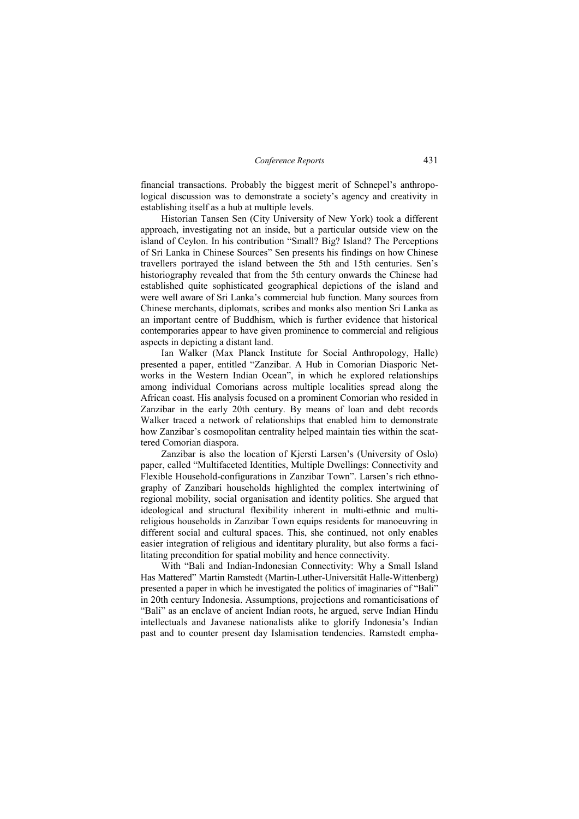financial transactions. Probably the biggest merit of Schnepel's anthropological discussion was to demonstrate a society's agency and creativity in establishing itself as a hub at multiple levels.

Historian Tansen Sen (City University of New York) took a different approach, investigating not an inside, but a particular outside view on the island of Ceylon. In his contribution "Small? Big? Island? The Perceptions of Sri Lanka in Chinese Sources" Sen presents his findings on how Chinese travellers portrayed the island between the 5th and 15th centuries. Sen's historiography revealed that from the 5th century onwards the Chinese had established quite sophisticated geographical depictions of the island and were well aware of Sri Lanka's commercial hub function. Many sources from Chinese merchants, diplomats, scribes and monks also mention Sri Lanka as an important centre of Buddhism, which is further evidence that historical contemporaries appear to have given prominence to commercial and religious aspects in depicting a distant land.

Ian Walker (Max Planck Institute for Social Anthropology, Halle) presented a paper, entitled "Zanzibar. A Hub in Comorian Diasporic Networks in the Western Indian Ocean", in which he explored relationships among individual Comorians across multiple localities spread along the African coast. His analysis focused on a prominent Comorian who resided in Zanzibar in the early 20th century. By means of loan and debt records Walker traced a network of relationships that enabled him to demonstrate how Zanzibar's cosmopolitan centrality helped maintain ties within the scattered Comorian diaspora.

Zanzibar is also the location of Kjersti Larsen's (University of Oslo) paper, called "Multifaceted Identities, Multiple Dwellings: Connectivity and Flexible Household-configurations in Zanzibar Town". Larsen's rich ethnography of Zanzibari households highlighted the complex intertwining of regional mobility, social organisation and identity politics. She argued that ideological and structural flexibility inherent in multi-ethnic and multireligious households in Zanzibar Town equips residents for manoeuvring in different social and cultural spaces. This, she continued, not only enables easier integration of religious and identitary plurality, but also forms a facilitating precondition for spatial mobility and hence connectivity.

With "Bali and Indian-Indonesian Connectivity: Why a Small Island Has Mattered" Martin Ramstedt (Martin-Luther-Universität Halle-Wittenberg) presented a paper in which he investigated the politics of imaginaries of "Bali" in 20th century Indonesia. Assumptions, projections and romanticisations of "Bali" as an enclave of ancient Indian roots, he argued, serve Indian Hindu intellectuals and Javanese nationalists alike to glorify Indonesia's Indian past and to counter present day Islamisation tendencies. Ramstedt empha-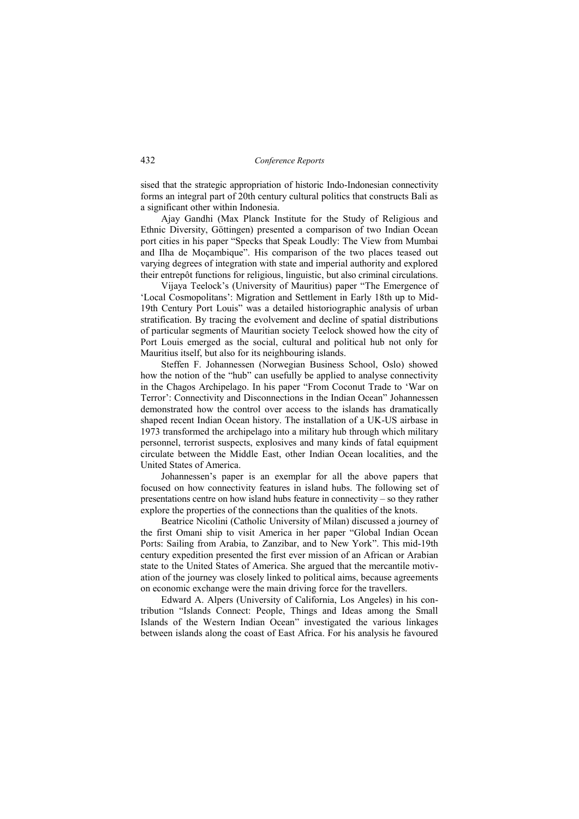sised that the strategic appropriation of historic Indo-Indonesian connectivity forms an integral part of 20th century cultural politics that constructs Bali as a significant other within Indonesia.

Ajay Gandhi (Max Planck Institute for the Study of Religious and Ethnic Diversity, Göttingen) presented a comparison of two Indian Ocean port cities in his paper "Specks that Speak Loudly: The View from Mumbai and Ilha de Moçambique". His comparison of the two places teased out varying degrees of integration with state and imperial authority and explored their entrepôt functions for religious, linguistic, but also criminal circulations.

Vijaya Teelock's (University of Mauritius) paper "The Emergence of 'Local Cosmopolitans': Migration and Settlement in Early 18th up to Mid-19th Century Port Louis" was a detailed historiographic analysis of urban stratification. By tracing the evolvement and decline of spatial distributions of particular segments of Mauritian society Teelock showed how the city of Port Louis emerged as the social, cultural and political hub not only for Mauritius itself, but also for its neighbouring islands.

Steffen F. Johannessen (Norwegian Business School, Oslo) showed how the notion of the "hub" can usefully be applied to analyse connectivity in the Chagos Archipelago. In his paper "From Coconut Trade to 'War on Terror': Connectivity and Disconnections in the Indian Ocean" Johannessen demonstrated how the control over access to the islands has dramatically shaped recent Indian Ocean history. The installation of a UK-US airbase in 1973 transformed the archipelago into a military hub through which military personnel, terrorist suspects, explosives and many kinds of fatal equipment circulate between the Middle East, other Indian Ocean localities, and the United States of America.

Johannessen's paper is an exemplar for all the above papers that focused on how connectivity features in island hubs. The following set of presentations centre on how island hubs feature in connectivity – so they rather explore the properties of the connections than the qualities of the knots.

Beatrice Nicolini (Catholic University of Milan) discussed a journey of the first Omani ship to visit America in her paper "Global Indian Ocean Ports: Sailing from Arabia, to Zanzibar, and to New York". This mid-19th century expedition presented the first ever mission of an African or Arabian state to the United States of America. She argued that the mercantile motivation of the journey was closely linked to political aims, because agreements on economic exchange were the main driving force for the travellers.

Edward A. Alpers (University of California, Los Angeles) in his contribution "Islands Connect: People, Things and Ideas among the Small Islands of the Western Indian Ocean" investigated the various linkages between islands along the coast of East Africa. For his analysis he favoured